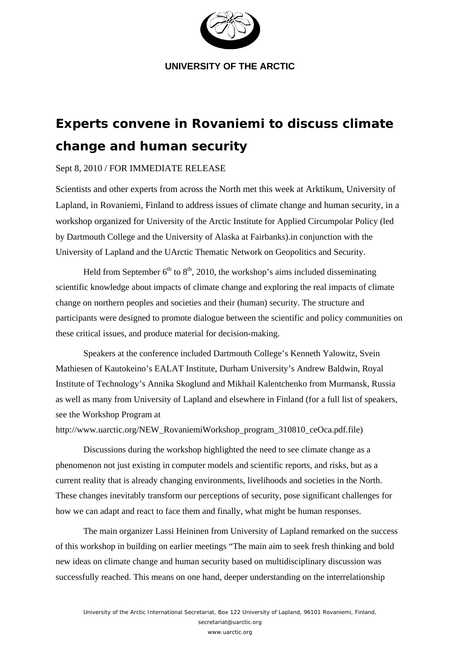

**UNIVERSITY OF THE ARCTIC** 

## **Experts convene in Rovaniemi to discuss climate change and human security**

## Sept 8, 2010 / FOR IMMEDIATE RELEASE

Scientists and other experts from across the North met this week at Arktikum, University of Lapland, in Rovaniemi, Finland to address issues of climate change and human security, in a workshop organized for University of the Arctic Institute for Applied Circumpolar Policy (led by Dartmouth College and the University of Alaska at Fairbanks).in conjunction with the University of Lapland and the UArctic Thematic Network on Geopolitics and Security.

Held from September  $6<sup>th</sup>$  to  $8<sup>th</sup>$ , 2010, the workshop's aims included disseminating scientific knowledge about impacts of climate change and exploring the real impacts of climate change on northern peoples and societies and their (human) security. The structure and participants were designed to promote dialogue between the scientific and policy communities on these critical issues, and produce material for decision-making.

Speakers at the conference included Dartmouth College's Kenneth Yalowitz, Svein Mathiesen of Kautokeino's EALAT Institute, Durham University's Andrew Baldwin, Royal Institute of Technology's Annika Skoglund and Mikhail Kalentchenko from Murmansk, Russia as well as many from University of Lapland and elsewhere in Finland (for a full list of speakers, see the Workshop Program at

http://www.uarctic.org/NEW\_RovaniemiWorkshop\_program\_310810\_ceOca.pdf.file)

Discussions during the workshop highlighted the need to see climate change as a phenomenon not just existing in computer models and scientific reports, and risks, but as a current reality that is already changing environments, livelihoods and societies in the North. These changes inevitably transform our perceptions of security, pose significant challenges for how we can adapt and react to face them and finally, what might be human responses.

 The main organizer Lassi Heininen from University of Lapland remarked on the success of this workshop in building on earlier meetings "The main aim to seek fresh thinking and bold new ideas on climate change and human security based on multidisciplinary discussion was successfully reached. This means on one hand, deeper understanding on the interrelationship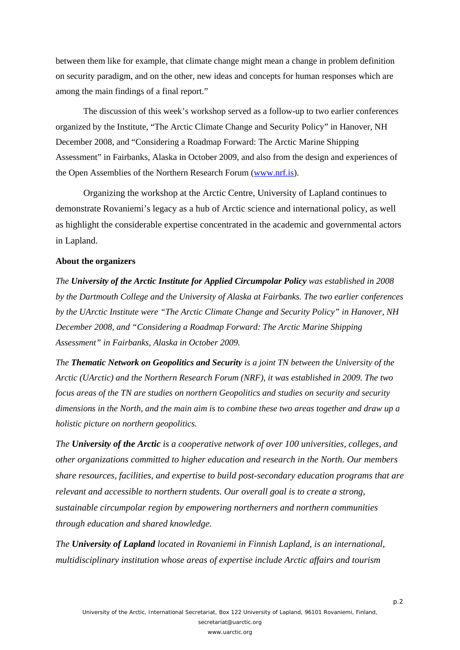between them like for example, that climate change might mean a change in problem definition on security paradigm, and on the other, new ideas and concepts for human responses which are among the main findings of a final report."

The discussion of this week's workshop served as a follow-up to two earlier conferences organized by the Institute, "The Arctic Climate Change and Security Policy" in Hanover, NH December 2008, and "Considering a Roadmap Forward: The Arctic Marine Shipping Assessment" in Fairbanks, Alaska in October 2009, and also from the design and experiences of the Open Assemblies of the Northern Research Forum (www.nrf.is).

Organizing the workshop at the Arctic Centre, University of Lapland continues to demonstrate Rovaniemi's legacy as a hub of Arctic science and international policy, as well as highlight the considerable expertise concentrated in the academic and governmental actors in Lapland.

## **About the organizers**

*The University of the Arctic Institute for Applied Circumpolar Policy was established in 2008 by the Dartmouth College and the University of Alaska at Fairbanks. The two earlier conferences by the UArctic Institute were "The Arctic Climate Change and Security Policy" in Hanover, NH December 2008, and "Considering a Roadmap Forward: The Arctic Marine Shipping Assessment" in Fairbanks, Alaska in October 2009.* 

*The Thematic Network on Geopolitics and Security is a joint TN between the University of the Arctic (UArctic) and the Northern Research Forum (NRF), it was established in 2009. The two focus areas of the TN are studies on northern Geopolitics and studies on security and security dimensions in the North, and the main aim is to combine these two areas together and draw up a holistic picture on northern geopolitics.*

*The University of the Arctic is a cooperative network of over 100 universities, colleges, and other organizations committed to higher education and research in the North. Our members share resources, facilities, and expertise to build post-secondary education programs that are relevant and accessible to northern students. Our overall goal is to create a strong, sustainable circumpolar region by empowering northerners and northern communities through education and shared knowledge.* 

*The University of Lapland located in Rovaniemi in Finnish Lapland, is an international, multidisciplinary institution whose areas of expertise include Arctic affairs and tourism*